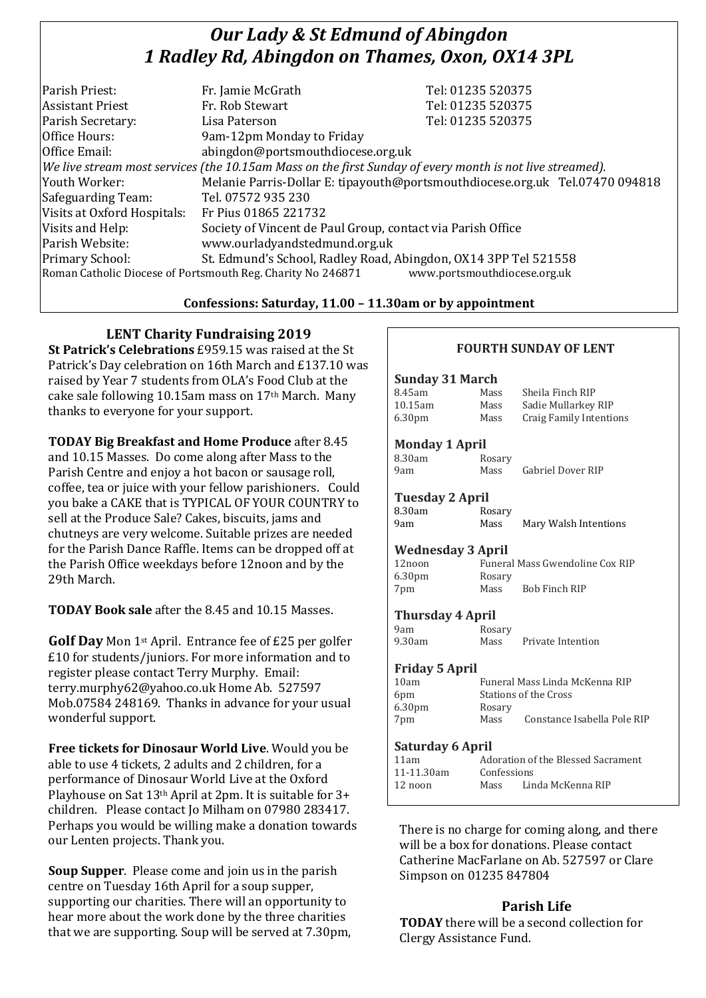# *Our Lady & St Edmund of Abingdon 1 Radley Rd, Abingdon on Thames, Oxon, OX14 3PL*

| Parish Priest:              | Fr. Jamie McGrath                                                                                        | Tel: 01235 520375                                                            |
|-----------------------------|----------------------------------------------------------------------------------------------------------|------------------------------------------------------------------------------|
| <b>Assistant Priest</b>     | Fr. Rob Stewart                                                                                          | Tel: 01235 520375                                                            |
| Parish Secretary:           | Lisa Paterson                                                                                            | Tel: 01235 520375                                                            |
| Office Hours:               | 9am-12pm Monday to Friday                                                                                |                                                                              |
| Office Email:               | abingdon@portsmouthdiocese.org.uk                                                                        |                                                                              |
|                             | We live stream most services (the 10.15am Mass on the first Sunday of every month is not live streamed). |                                                                              |
| Youth Worker:               |                                                                                                          | Melanie Parris-Dollar E: tipayouth@portsmouthdiocese.org.uk Tel.07470 094818 |
| Safeguarding Team:          | Tel. 07572 935 230                                                                                       |                                                                              |
| Visits at Oxford Hospitals: | Fr Pius 01865 221732                                                                                     |                                                                              |
| Visits and Help:            | Society of Vincent de Paul Group, contact via Parish Office                                              |                                                                              |
| Parish Website:             | www.ourladyandstedmund.org.uk                                                                            |                                                                              |
| Primary School:             | St. Edmund's School, Radley Road, Abingdon, OX14 3PP Tel 521558                                          |                                                                              |
|                             | Roman Catholic Diocese of Portsmouth Reg. Charity No 246871                                              | www.portsmouthdiocese.org.uk                                                 |
|                             |                                                                                                          |                                                                              |

## **Confessions: Saturday, 11.00 – 11.30am or by appointment**

# **LENT Charity Fundraising 2019**

**St Patrick's Celebrations** £959.15 was raised at the St Patrick's Day celebration on 16th March and £137.10 was raised by Year 7 students from OLA's Food Club at the cake sale following 10.15am mass on 17th March. Many thanks to everyone for your support.

**TODAY Big Breakfast and Home Produce** after 8.45 and 10.15 Masses. Do come along after Mass to the Parish Centre and enjoy a hot bacon or sausage roll, coffee, tea or juice with your fellow parishioners. Could you bake a CAKE that is TYPICAL OF YOUR COUNTRY to sell at the Produce Sale? Cakes, biscuits, jams and chutneys are very welcome. Suitable prizes are needed for the Parish Dance Raffle. Items can be dropped off at the Parish Office weekdays before 12noon and by the 29th March.

**TODAY Book sale** after the 8.45 and 10.15 Masses.

Golf Day Mon 1<sup>st</sup> April. Entrance fee of £25 per golfer £10 for students/juniors. For more information and to register please contact Terry Murphy. Email: terry.murphy62@yahoo.co.uk Home Ab. 527597 Mob.07584 248169. Thanks in advance for your usual wonderful support.

**Free tickets for Dinosaur World Live**. Would you be able to use 4 tickets, 2 adults and 2 children, for a performance of Dinosaur World Live at the Oxford Playhouse on Sat 13th April at 2pm. It is suitable for 3+ children. Please contact Jo Milham on 07980 283417. Perhaps you would be willing make a donation towards our Lenten projects. Thank you.

**Soup Supper**. Please come and join us in the parish centre on Tuesday 16th April for a soup supper, supporting our charities. There will an opportunity to hear more about the work done by the three charities that we are supporting. Soup will be served at 7.30pm,

# **FOURTH SUNDAY OF LENT**

Gabriel Dover RIP

Mary Walsh Intentions

#### **Sunday 31 March**

| 8.45am             | Mass | Sheila Finch RIP        |
|--------------------|------|-------------------------|
| 10.15am            | Mass | Sadie Mullarkey RIP     |
| 6.30 <sub>pm</sub> | Mass | Craig Family Intentions |

#### **Monday 1 April**

| 8.30am | Rosary |
|--------|--------|
| 9am    | Mass   |

| <b>Tuesday 2 April</b> |        |
|------------------------|--------|
| 8.30am                 | Rosary |

| o.əvallı | <b>RUS</b> |
|----------|------------|
| 9am      | Mas        |
|          |            |

#### **Wednesday 3 April**

| 12noon             | Funeral Mass Gwendoline Cox RIP |               |
|--------------------|---------------------------------|---------------|
| 6.30 <sub>pm</sub> | Rosary                          |               |
| 7pm                | Mass                            | Bob Finch RIP |

## **Thursday 4 April**

| 9am    | Rosary |                   |
|--------|--------|-------------------|
| 9.30am | Mass   | Private Intention |

#### **Friday 5 April**

| 10am               | Funeral Mass Linda McKenna RIP |                             |  |
|--------------------|--------------------------------|-----------------------------|--|
| 6pm                |                                | Stations of the Cross       |  |
| 6.30 <sub>pm</sub> | Rosary                         |                             |  |
| 7pm                | Mass                           | Constance Isabella Pole RIP |  |
|                    |                                |                             |  |

## **Saturday 6 April**

| 11am            | Adoration of the Blessed Sacrament |                   |
|-----------------|------------------------------------|-------------------|
| $11 - 11.30$ am | Confessions                        |                   |
| $12$ noon       | Mass                               | Linda McKenna RIP |
|                 |                                    |                   |

There is no charge for coming along, and there will be a box for donations. Please contact Catherine MacFarlane on Ab. 527597 or Clare Simpson on 01235 847804

## **Parish Life**

**TODAY** there will be a second collection for Clergy Assistance Fund.